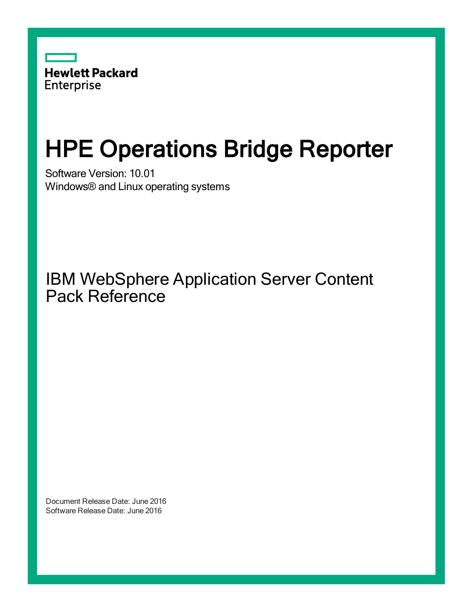

# HPE Operations Bridge Reporter

Software Version: 10.01 Windows® and Linux operating systems

IBM WebSphere Application Server Content Pack Reference

Document Release Date: June 2016 Software Release Date: June 2016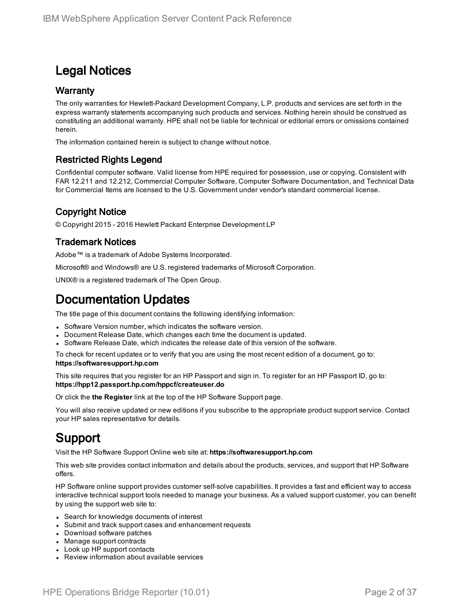### Legal Notices

#### **Warranty**

The only warranties for Hewlett-Packard Development Company, L.P. products and services are set forth in the express warranty statements accompanying such products and services. Nothing herein should be construed as constituting an additional warranty. HPE shall not be liable for technical or editorial errors or omissions contained herein.

The information contained herein is subject to change without notice.

#### Restricted Rights Legend

Confidential computer software. Valid license from HPE required for possession, use or copying. Consistent with FAR 12.211 and 12.212, Commercial Computer Software, Computer Software Documentation, and Technical Data for Commercial Items are licensed to the U.S. Government under vendor's standard commercial license.

#### Copyright Notice

© Copyright 2015 - 2016 Hewlett Packard Enterprise Development LP

#### Trademark Notices

Adobe™ is a trademark of Adobe Systems Incorporated.

Microsoft® and Windows® are U.S. registered trademarks of Microsoft Corporation.

UNIX® is a registered trademark of The Open Group.

### Documentation Updates

The title page of this document contains the following identifying information:

- Software Version number, which indicates the software version.
- Document Release Date, which changes each time the document is updated.
- Software Release Date, which indicates the release date of this version of the software.

To check for recent updates or to verify that you are using the most recent edition of a document, go to: **https://softwaresupport.hp.com**

This site requires that you register for an HP Passport and sign in. To register for an HP Passport ID, go to: **https://hpp12.passport.hp.com/hppcf/createuser.do**

Or click the **the Register** link at the top of the HP Software Support page.

You will also receive updated or new editions if you subscribe to the appropriate product support service. Contact your HP sales representative for details.

### Support

Visit the HP Software Support Online web site at: **https://softwaresupport.hp.com**

This web site provides contact information and details about the products, services, and support that HP Software offers.

HP Software online support provides customer self-solve capabilities. It provides a fast and efficient way to access interactive technical support tools needed to manage your business. As a valued support customer, you can benefit by using the support web site to:

- Search for knowledge documents of interest
- Submit and track support cases and enhancement requests
- Download software patches
- Manage support contracts
- Look up HP support contacts
- Review information about available services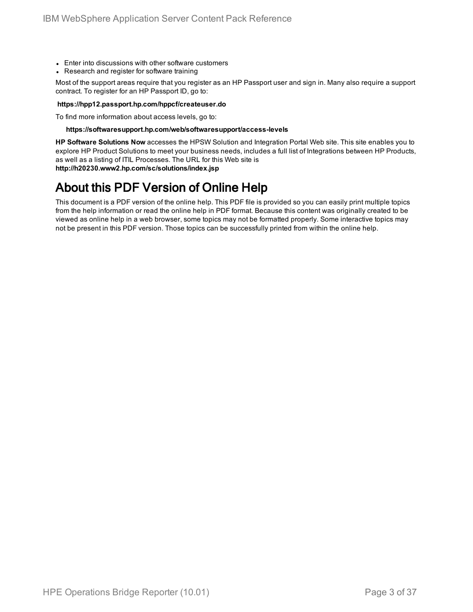- Enter into discussions with other software customers
- Research and register for software training

Most of the support areas require that you register as an HP Passport user and sign in. Many also require a support contract. To register for an HP Passport ID, go to:

#### **https://hpp12.passport.hp.com/hppcf/createuser.do**

To find more information about access levels, go to:

#### **https://softwaresupport.hp.com/web/softwaresupport/access-levels**

**HP Software Solutions Now** accesses the HPSW Solution and Integration Portal Web site. This site enables you to explore HP Product Solutions to meet your business needs, includes a full list of Integrations between HP Products, as well as a listing of ITIL Processes. The URL for this Web site is **http://h20230.www2.hp.com/sc/solutions/index.jsp**

### About this PDF Version of Online Help

This document is a PDF version of the online help. This PDF file is provided so you can easily print multiple topics from the help information or read the online help in PDF format. Because this content was originally created to be viewed as online help in a web browser, some topics may not be formatted properly. Some interactive topics may not be present in this PDF version. Those topics can be successfully printed from within the online help.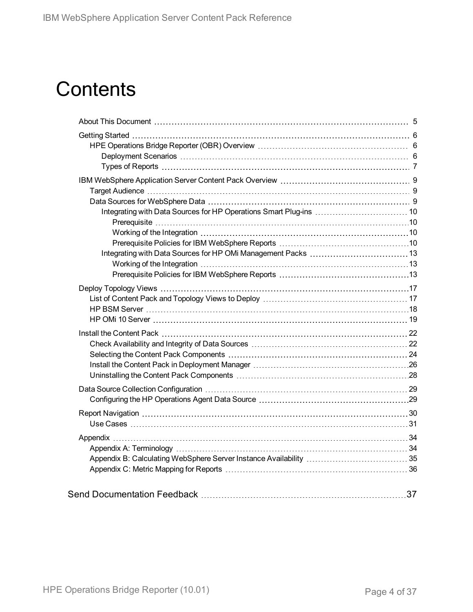# **Contents**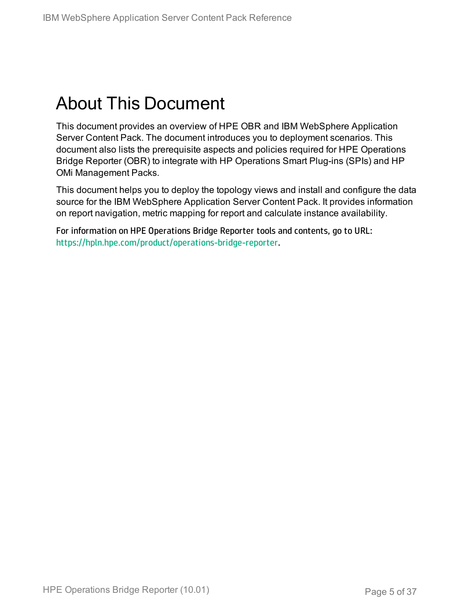# <span id="page-4-0"></span>About This Document

This document provides an overview of HPE OBR and IBM WebSphere Application Server Content Pack. The document introduces you to deployment scenarios. This document also lists the prerequisite aspects and policies required for HPE Operations Bridge Reporter (OBR) to integrate with HP Operations Smart Plug-ins (SPIs) and HP OMi Management Packs.

This document helps you to deploy the topology views and install and configure the data source for the IBM WebSphere Application Server Content Pack. It provides information on report navigation, metric mapping for report and calculate instance availability.

For information on HPE Operations Bridge Reporter tools and contents, go to URL: <https://hpln.hpe.com/product/operations-bridge-reporter>.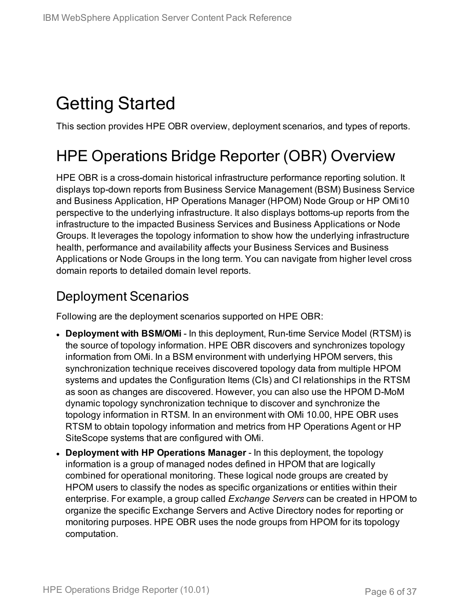# <span id="page-5-0"></span>Getting Started

<span id="page-5-1"></span>This section provides HPE OBR overview, deployment scenarios, and types of reports.

## HPE Operations Bridge Reporter (OBR) Overview

HPE OBR is a cross-domain historical infrastructure performance reporting solution. It displays top-down reports from Business Service Management (BSM) Business Service and Business Application, HP Operations Manager (HPOM) Node Group or HP OMi10 perspective to the underlying infrastructure. It also displays bottoms-up reports from the infrastructure to the impacted Business Services and Business Applications or Node Groups. It leverages the topology information to show how the underlying infrastructure health, performance and availability affects your Business Services and Business Applications or Node Groups in the long term. You can navigate from higher level cross domain reports to detailed domain level reports.

### <span id="page-5-2"></span>Deployment Scenarios

Following are the deployment scenarios supported on HPE OBR:

- **Deployment with BSM/OMi** In this deployment, Run-time Service Model (RTSM) is the source of topology information. HPE OBR discovers and synchronizes topology information from OMi. In a BSM environment with underlying HPOM servers, this synchronization technique receives discovered topology data from multiple HPOM systems and updates the Configuration Items (CIs) and CI relationships in the RTSM as soon as changes are discovered. However, you can also use the HPOM D-MoM dynamic topology synchronization technique to discover and synchronize the topology information in RTSM. In an environment with OMi 10.00, HPE OBR uses RTSM to obtain topology information and metrics from HP Operations Agent or HP SiteScope systems that are configured with OMi.
- <sup>l</sup> **Deployment with HP Operations Manager** In this deployment, the topology information is a group of managed nodes defined in HPOM that are logically combined for operational monitoring. These logical node groups are created by HPOM users to classify the nodes as specific organizations or entities within their enterprise. For example, a group called *Exchange Servers* can be created in HPOM to organize the specific Exchange Servers and Active Directory nodes for reporting or monitoring purposes. HPE OBR uses the node groups from HPOM for its topology computation.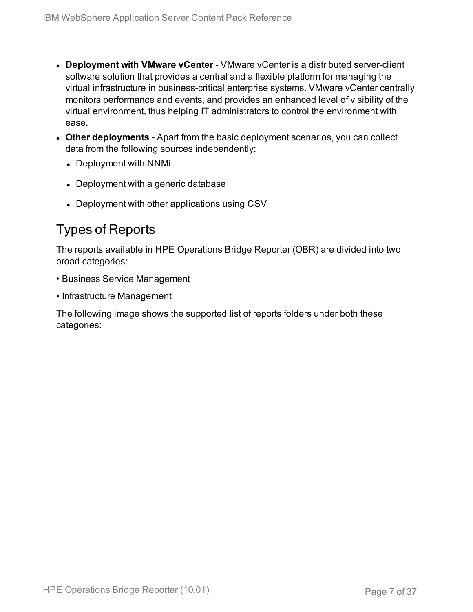- **.** Deployment with VMware vCenter VMware vCenter is a distributed server-client software solution that provides a central and a flexible platform for managing the virtual infrastructure in business-critical enterprise systems. VMware vCenter centrally monitors performance and events, and provides an enhanced level of visibility of the virtual environment, thus helping IT administrators to control the environment with ease.
- **Other deployments** Apart from the basic deployment scenarios, you can collect data from the following sources independently:
	- Deployment with NNMi
	- Deployment with a generic database
	- Deployment with other applications using CSV

### <span id="page-6-0"></span>Types of Reports

The reports available in HPE Operations Bridge Reporter (OBR) are divided into two broad categories:

- Business Service Management
- Infrastructure Management

The following image shows the supported list of reports folders under both these categories: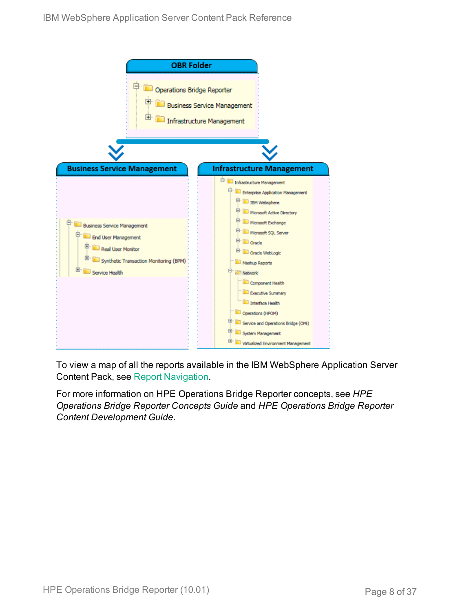

To view a map of all the reports available in the IBM WebSphere Application Server Content Pack, see Report [Navigation](#page-29-0).

For more information on HPE Operations Bridge Reporter concepts, see *HPE Operations Bridge Reporter Concepts Guide* and *HPE Operations Bridge Reporter Content Development Guide*.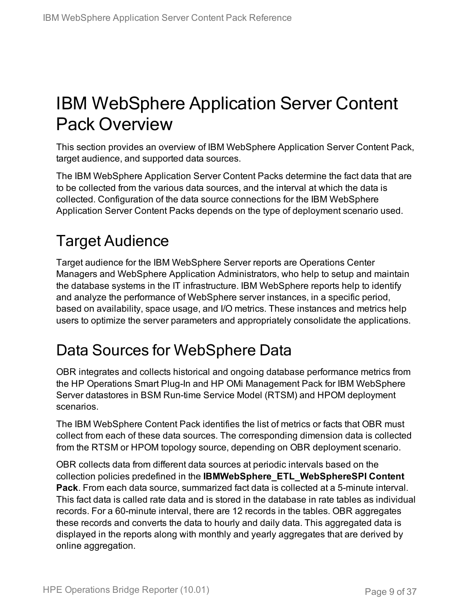# <span id="page-8-0"></span>IBM WebSphere Application Server Content Pack Overview

This section provides an overview of IBM WebSphere Application Server Content Pack, target audience, and supported data sources.

The IBM WebSphere Application Server Content Packs determine the fact data that are to be collected from the various data sources, and the interval at which the data is collected. Configuration of the data source connections for the IBM WebSphere Application Server Content Packs depends on the type of deployment scenario used.

## <span id="page-8-1"></span>Target Audience

Target audience for the IBM WebSphere Server reports are Operations Center Managers and WebSphere Application Administrators, who help to setup and maintain the database systems in the IT infrastructure. IBM WebSphere reports help to identify and analyze the performance of WebSphere server instances, in a specific period, based on availability, space usage, and I/O metrics. These instances and metrics help users to optimize the server parameters and appropriately consolidate the applications.

### <span id="page-8-2"></span>Data Sources for WebSphere Data

OBR integrates and collects historical and ongoing database performance metrics from the HP Operations Smart Plug-In and HP OMi Management Pack for IBM WebSphere Server datastores in BSM Run-time Service Model (RTSM) and HPOM deployment scenarios.

The IBM WebSphere Content Pack identifies the list of metrics or facts that OBR must collect from each of these data sources. The corresponding dimension data is collected from the RTSM or HPOM topology source, depending on OBR deployment scenario.

OBR collects data from different data sources at periodic intervals based on the collection policies predefined in the **IBMWebSphere\_ETL\_WebSphereSPI Content Pack**. From each data source, summarized fact data is collected at a 5-minute interval. This fact data is called rate data and is stored in the database in rate tables as individual records. For a 60-minute interval, there are 12 records in the tables. OBR aggregates these records and converts the data to hourly and daily data. This aggregated data is displayed in the reports along with monthly and yearly aggregates that are derived by online aggregation.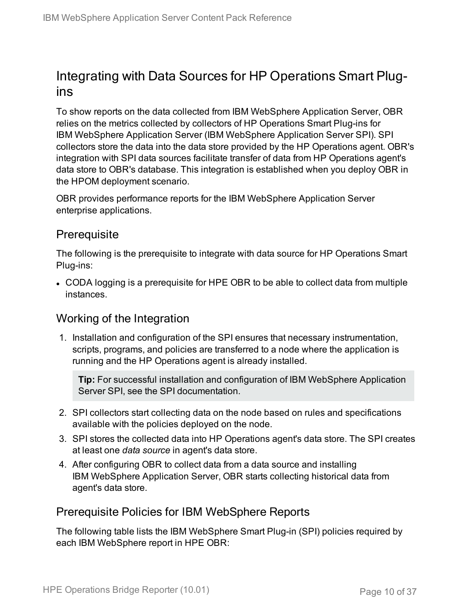### <span id="page-9-0"></span>Integrating with Data Sources for HP Operations Smart Plugins

To show reports on the data collected from IBM WebSphere Application Server, OBR relies on the metrics collected by collectors of HP Operations Smart Plug-ins for IBM WebSphere Application Server (IBM WebSphere Application Server SPI). SPI collectors store the data into the data store provided by the HP Operations agent. OBR's integration with SPI data sources facilitate transfer of data from HP Operations agent's data store to OBR's database. This integration is established when you deploy OBR in the HPOM deployment scenario.

OBR provides performance reports for the IBM WebSphere Application Server enterprise applications.

### <span id="page-9-1"></span>**Prerequisite**

The following is the prerequisite to integrate with data source for HP Operations Smart Plug-ins:

• CODA logging is a prerequisite for HPE OBR to be able to collect data from multiple instances.

### <span id="page-9-2"></span>Working of the Integration

1. Installation and configuration of the SPI ensures that necessary instrumentation, scripts, programs, and policies are transferred to a node where the application is running and the HP Operations agent is already installed.

**Tip:** For successful installation and configuration of IBM WebSphere Application Server SPI, see the SPI documentation.

- 2. SPI collectors start collecting data on the node based on rules and specifications available with the policies deployed on the node.
- 3. SPI stores the collected data into HP Operations agent's data store. The SPI creates at least one *data source* in agent's data store.
- 4. After configuring OBR to collect data from a data source and installing IBM WebSphere Application Server, OBR starts collecting historical data from agent's data store.

#### <span id="page-9-3"></span>Prerequisite Policies for IBM WebSphere Reports

The following table lists the IBM WebSphere Smart Plug-in (SPI) policies required by each IBM WebSphere report in HPE OBR: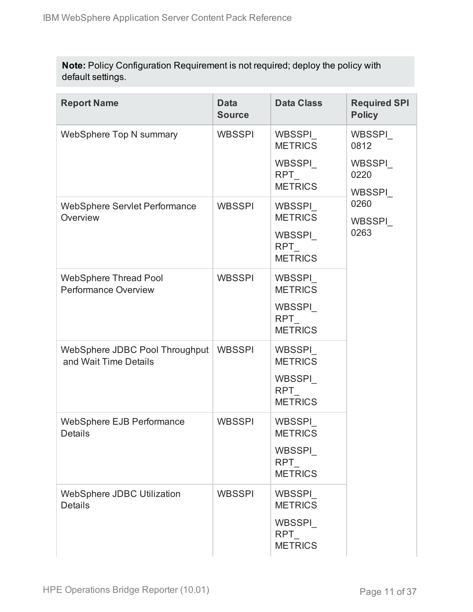**Note:** Policy Configuration Requirement is not required; deploy the policy with default settings.

| <b>Report Name</b>                                          | <b>Data</b><br><b>Source</b> | <b>Data Class</b>                                                         | <b>Required SPI</b><br><b>Policy</b> |
|-------------------------------------------------------------|------------------------------|---------------------------------------------------------------------------|--------------------------------------|
| WebSphere Top N summary                                     | <b>WBSSPI</b>                | WBSSPI<br><b>METRICS</b>                                                  | WBSSPI_<br>0812                      |
|                                                             |                              | WBSSPI<br><b>RPT</b><br><b>METRICS</b>                                    | WBSSPI<br>0220<br>WBSSPI             |
| <b>WebSphere Servlet Performance</b><br>Overview            | <b>WBSSPI</b>                | WBSSPI<br><b>METRICS</b><br>WBSSPI<br>RPT<br><b>METRICS</b>               | 0260<br>WBSSPI<br>0263               |
| <b>WebSphere Thread Pool</b><br><b>Performance Overview</b> | <b>WBSSPI</b>                | <b>WBSSPI</b><br><b>METRICS</b><br>WBSSPI<br><b>RPT</b><br><b>METRICS</b> |                                      |
| WebSphere JDBC Pool Throughput<br>and Wait Time Details     | <b>WBSSPI</b>                | WBSSPI<br><b>METRICS</b><br>WBSSPI<br><b>RPT</b><br><b>METRICS</b>        |                                      |
| <b>WebSphere EJB Performance</b><br><b>Details</b>          | <b>WBSSPI</b>                | <b>WBSSPI</b><br><b>METRICS</b><br>WBSSPI<br><b>RPT</b><br><b>METRICS</b> |                                      |
| WebSphere JDBC Utilization<br><b>Details</b>                | <b>WBSSPI</b>                | WBSSPI<br><b>METRICS</b><br>WBSSPI<br><b>RPT</b><br><b>METRICS</b>        |                                      |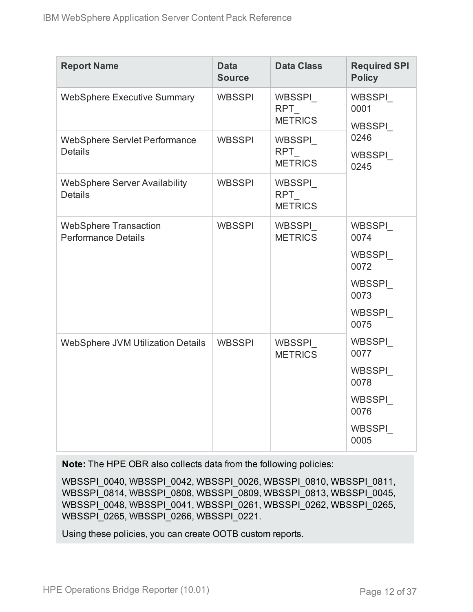| <b>Report Name</b>                                         | <b>Data</b><br><b>Source</b> | <b>Data Class</b>               | <b>Required SPI</b><br><b>Policy</b>                                 |
|------------------------------------------------------------|------------------------------|---------------------------------|----------------------------------------------------------------------|
| <b>WebSphere Executive Summary</b>                         | <b>WBSSPI</b>                | WBSSPI<br>RPT<br><b>METRICS</b> | WBSSPI<br>0001<br>WBSSPI                                             |
| <b>WebSphere Servlet Performance</b><br><b>Details</b>     | <b>WBSSPI</b>                | WBSSPI<br>RPT<br><b>METRICS</b> | 0246<br>WBSSPI<br>0245                                               |
| <b>WebSphere Server Availability</b><br><b>Details</b>     | <b>WBSSPI</b>                | WBSSPI<br>RPT<br><b>METRICS</b> |                                                                      |
| <b>WebSphere Transaction</b><br><b>Performance Details</b> | <b>WBSSPI</b>                | WBSSPI<br><b>METRICS</b>        | WBSSPI<br>0074<br>WBSSPI<br>0072<br>WBSSPI<br>0073<br>WBSSPI<br>0075 |
| WebSphere JVM Utilization Details                          | <b>WBSSPI</b>                | WBSSPI<br><b>METRICS</b>        | WBSSPI<br>0077<br>WBSSPI<br>0078<br>WBSSPI<br>0076<br>WBSSPI<br>0005 |

**Note:** The HPE OBR also collects data from the following policies:

WBSSPI\_0040, WBSSPI\_0042, WBSSPI\_0026, WBSSPI\_0810, WBSSPI\_0811, WBSSPI\_0814, WBSSPI\_0808, WBSSPI\_0809, WBSSPI\_0813, WBSSPI\_0045, WBSSPI\_0048, WBSSPI\_0041, WBSSPI\_0261, WBSSPI\_0262, WBSSPI\_0265, WBSSPI\_0265, WBSSPI\_0266, WBSSPI\_0221.

Using these policies, you can create OOTB custom reports.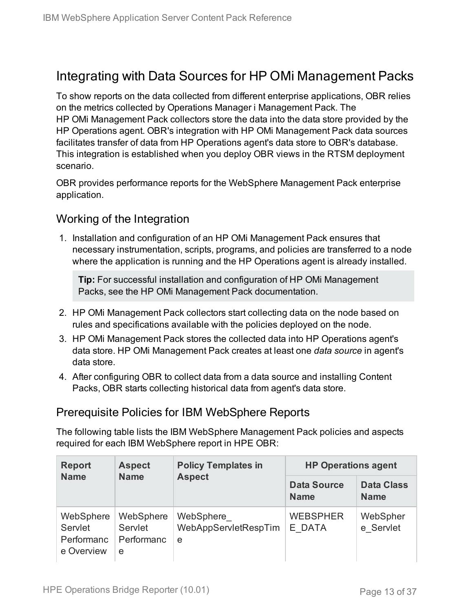### <span id="page-12-0"></span>Integrating with Data Sources for HP OMi Management Packs

To show reports on the data collected from different enterprise applications, OBR relies on the metrics collected by Operations Manager i Management Pack. The HP OMi Management Pack collectors store the data into the data store provided by the HP Operations agent. OBR's integration with HP OMi Management Pack data sources facilitates transfer of data from HP Operations agent's data store to OBR's database. This integration is established when you deploy OBR views in the RTSM deployment scenario.

OBR provides performance reports for the WebSphere Management Pack enterprise application.

### <span id="page-12-1"></span>Working of the Integration

1. Installation and configuration of an HP OMi Management Pack ensures that necessary instrumentation, scripts, programs, and policies are transferred to a node where the application is running and the HP Operations agent is already installed.

**Tip:** For successful installation and configuration of HP OMi Management Packs, see the HP OMi Management Pack documentation.

- 2. HP OMi Management Pack collectors start collecting data on the node based on rules and specifications available with the policies deployed on the node.
- 3. HP OMi Management Pack stores the collected data into HP Operations agent's data store. HP OMi Management Pack creates at least one *data source* in agent's data store.
- 4. After configuring OBR to collect data from a data source and installing Content Packs, OBR starts collecting historical data from agent's data store.

### <span id="page-12-2"></span>Prerequisite Policies for IBM WebSphere Reports

The following table lists the IBM WebSphere Management Pack policies and aspects required for each IBM WebSphere report in HPE OBR:

| <b>Aspect</b><br><b>Report</b><br><b>Name</b><br><b>Name</b> | <b>Policy Templates in</b>              |                                        | <b>HP Operations agent</b>       |                       |  |  |
|--------------------------------------------------------------|-----------------------------------------|----------------------------------------|----------------------------------|-----------------------|--|--|
|                                                              | <b>Aspect</b>                           | <b>Data Source</b><br><b>Name</b>      | <b>Data Class</b><br><b>Name</b> |                       |  |  |
| WebSphere<br>Servlet<br>Performanc<br>e Overview             | WebSphere<br>Servlet<br>Performanc<br>e | WebSphere<br>WebAppServletRespTim<br>e | <b>WEBSPHER</b><br>E DATA        | WebSpher<br>e Servlet |  |  |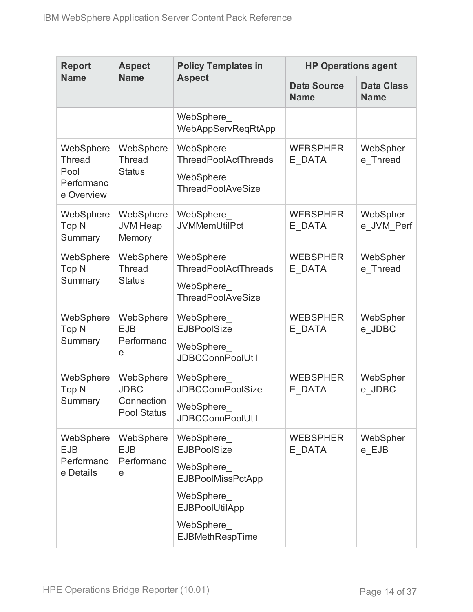| <b>Report</b>                                                  | <b>Aspect</b>                                                | <b>Policy Templates in</b>                                                                                                                     |                                   | <b>HP Operations agent</b>       |  |
|----------------------------------------------------------------|--------------------------------------------------------------|------------------------------------------------------------------------------------------------------------------------------------------------|-----------------------------------|----------------------------------|--|
| <b>Name</b>                                                    | <b>Name</b>                                                  | <b>Aspect</b>                                                                                                                                  | <b>Data Source</b><br><b>Name</b> | <b>Data Class</b><br><b>Name</b> |  |
|                                                                |                                                              | WebSphere<br>WebAppServReqRtApp                                                                                                                |                                   |                                  |  |
| WebSphere<br><b>Thread</b><br>Pool<br>Performanc<br>e Overview | WebSphere<br><b>Thread</b><br><b>Status</b>                  | WebSphere_<br><b>ThreadPoolActThreads</b><br>WebSphere_<br><b>ThreadPoolAveSize</b>                                                            | <b>WEBSPHER</b><br>E DATA         | WebSpher<br>e Thread             |  |
| WebSphere<br>Top <sub>N</sub><br>Summary                       | WebSphere<br><b>JVM Heap</b><br>Memory                       | WebSphere<br><b>JVMMemUtilPct</b>                                                                                                              | <b>WEBSPHER</b><br>E DATA         | WebSpher<br>e JVM Perf           |  |
| WebSphere<br>Top N<br>Summary                                  | WebSphere<br><b>Thread</b><br><b>Status</b>                  | WebSphere<br>ThreadPoolActThreads<br>WebSphere<br><b>ThreadPoolAveSize</b>                                                                     | <b>WEBSPHER</b><br>E DATA         | WebSpher<br>e Thread             |  |
| WebSphere<br>Top <sub>N</sub><br>Summary                       | WebSphere<br><b>EJB</b><br>Performanc<br>e                   | WebSphere<br><b>EJBPoolSize</b><br>WebSphere<br><b>JDBCConnPoolUtil</b>                                                                        | <b>WEBSPHER</b><br>E DATA         | WebSpher<br>e JDBC               |  |
| WebSphere<br>Top <sub>N</sub><br>Summary                       | WebSphere<br><b>JDBC</b><br>Connection<br><b>Pool Status</b> | WebSphere<br><b>JDBCConnPoolSize</b><br>WebSphere<br><b>JDBCConnPoolUtil</b>                                                                   | <b>WEBSPHER</b><br>E DATA         | WebSpher<br>e JDBC               |  |
| WebSphere<br><b>EJB</b><br>Performanc<br>e Details             | WebSphere<br><b>EJB</b><br>Performanc<br>е                   | WebSphere<br><b>EJBPoolSize</b><br>WebSphere<br><b>EJBPoolMissPctApp</b><br>WebSphere<br>EJBPoolUtilApp<br>WebSphere<br><b>EJBMethRespTime</b> | <b>WEBSPHER</b><br>E DATA         | WebSpher<br>e EJB                |  |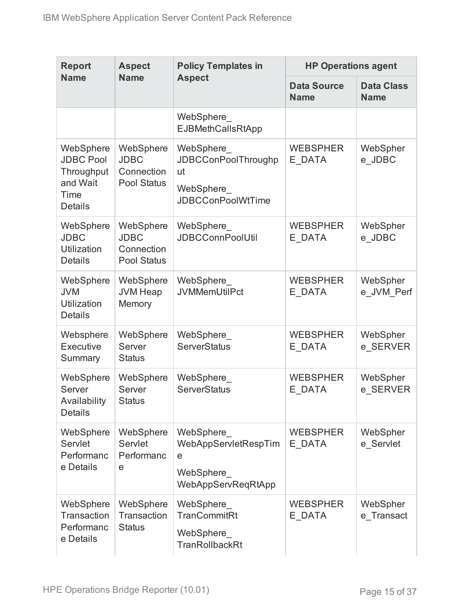| <b>Report</b>                                                                     | <b>Aspect</b>                                                | <b>Policy Templates in</b>                                                              | <b>HP Operations agent</b>        |                                  |
|-----------------------------------------------------------------------------------|--------------------------------------------------------------|-----------------------------------------------------------------------------------------|-----------------------------------|----------------------------------|
| <b>Name</b>                                                                       | <b>Name</b>                                                  | <b>Aspect</b>                                                                           | <b>Data Source</b><br><b>Name</b> | <b>Data Class</b><br><b>Name</b> |
|                                                                                   |                                                              | WebSphere<br><b>EJBMethCallsRtApp</b>                                                   |                                   |                                  |
| WebSphere<br><b>JDBC Pool</b><br>Throughput<br>and Wait<br>Time<br><b>Details</b> | WebSphere<br><b>JDBC</b><br>Connection<br><b>Pool Status</b> | WebSphere_<br><b>JDBCConPoolThroughp</b><br>ut<br>WebSphere<br><b>JDBCConPoolWtTime</b> | <b>WEBSPHER</b><br>E DATA         | WebSpher<br>e_JDBC               |
| WebSphere<br><b>JDBC</b><br><b>Utilization</b><br><b>Details</b>                  | WebSphere<br><b>JDBC</b><br>Connection<br><b>Pool Status</b> | WebSphere<br><b>JDBCConnPoolUtil</b>                                                    | <b>WEBSPHER</b><br>E DATA         | WebSpher<br>e JDBC               |
| WebSphere<br><b>JVM</b><br><b>Utilization</b><br><b>Details</b>                   | WebSphere<br><b>JVM Heap</b><br>Memory                       | WebSphere<br><b>JVMMemUtilPct</b>                                                       | <b>WEBSPHER</b><br>E DATA         | WebSpher<br>e JVM_Perf           |
| Websphere<br>Executive<br>Summary                                                 | WebSphere<br>Server<br><b>Status</b>                         | WebSphere<br><b>ServerStatus</b>                                                        | <b>WEBSPHER</b><br>E DATA         | WebSpher<br>e SERVER             |
| WebSphere<br>Server<br>Availability<br><b>Details</b>                             | WebSphere<br>Server<br><b>Status</b>                         | WebSphere<br><b>ServerStatus</b>                                                        | <b>WEBSPHER</b><br>E DATA         | WebSpher<br>e_SERVER             |
| WebSphere<br>Servlet<br>Performanc<br>e Details                                   | WebSphere<br>Servlet<br>Performanc<br>e                      | WebSphere<br>WebAppServletRespTim<br>e<br>WebSphere<br>WebAppServReqRtApp               | <b>WEBSPHER</b><br>E DATA         | WebSpher<br>e Servlet            |
| WebSphere<br>Transaction<br>Performanc<br>e Details                               | WebSphere<br>Transaction<br><b>Status</b>                    | WebSphere<br><b>TranCommitRt</b><br>WebSphere_<br><b>TranRollbackRt</b>                 | <b>WEBSPHER</b><br>E DATA         | WebSpher<br>e Transact           |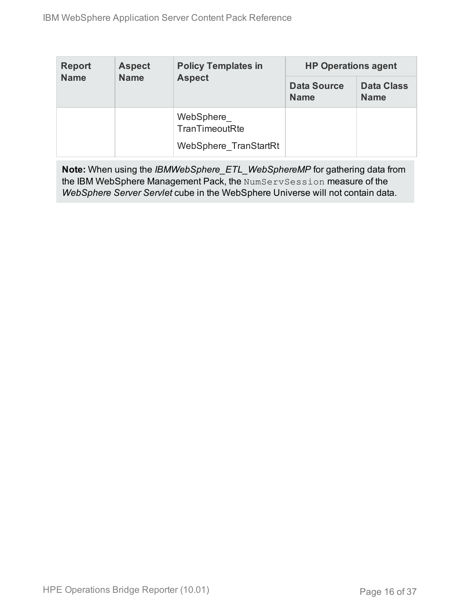| <b>Report</b> | <b>Aspect</b> | <b>Policy Templates in</b>  | <b>HP Operations agent</b>        |                                  |  |  |
|---------------|---------------|-----------------------------|-----------------------------------|----------------------------------|--|--|
| <b>Name</b>   | <b>Name</b>   | <b>Aspect</b>               | <b>Data Source</b><br><b>Name</b> | <b>Data Class</b><br><b>Name</b> |  |  |
|               |               | WebSphere<br>TranTimeoutRte |                                   |                                  |  |  |
|               |               | WebSphere TranStartRt       |                                   |                                  |  |  |

**Note:** When using the *IBMWebSphere\_ETL\_WebSphereMP* for gathering data from the IBM WebSphere Management Pack, the NumServSession measure of the *WebSphere Server Servlet* cube in the WebSphere Universe will not contain data.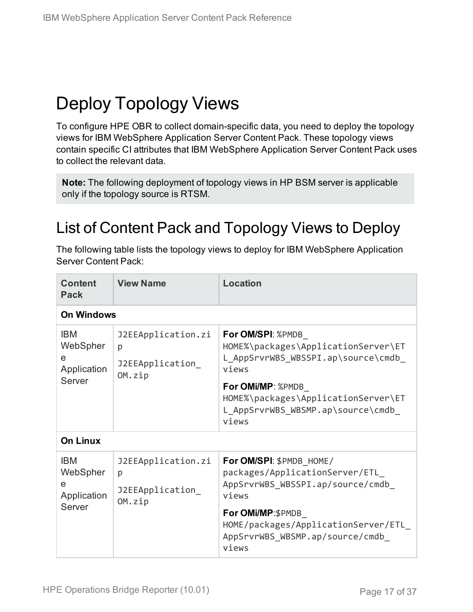# <span id="page-16-0"></span>Deploy Topology Views

To configure HPE OBR to collect domain-specific data, you need to deploy the topology views for IBM WebSphere Application Server Content Pack. These topology views contain specific CI attributes that IBM WebSphere Application Server Content Pack uses to collect the relevant data.

**Note:** The following deployment of topology views in HP BSM server is applicable only if the topology source is RTSM.

## <span id="page-16-1"></span>List of Content Pack and Topology Views to Deploy

The following table lists the topology views to deploy for IBM WebSphere Application Server Content Pack:

| <b>Content</b><br><b>Pack</b>                        | <b>View Name</b>                                     | Location                                                                                                |
|------------------------------------------------------|------------------------------------------------------|---------------------------------------------------------------------------------------------------------|
| <b>On Windows</b>                                    |                                                      |                                                                                                         |
| <b>IBM</b><br>WebSpher<br>e<br>Application<br>Server | J2EEApplication.zi<br>p<br>J2EEApplication<br>OM.zip | For OM/SPI: %PMDB<br>HOME%\packages\ApplicationServer\ET<br>L AppSrvrWBS WBSSPI.ap\source\cmdb<br>views |
|                                                      |                                                      | For OMi/MP: %PMDB<br>HOME%\packages\ApplicationServer\ET<br>L_AppSrvrWBS_WBSMP.ap\source\cmdb_<br>views |
| <b>On Linux</b>                                      |                                                      |                                                                                                         |
| <b>IBM</b><br>WebSpher<br>e<br>Application           | J2EEApplication.zi<br>p<br>J2EEApplication<br>OM.zip | For OM/SPI: \$PMDB HOME/<br>packages/ApplicationServer/ETL<br>AppSrvrWBS WBSSPI.ap/source/cmdb<br>views |
| Server                                               |                                                      | For OMi/MP:\$PMDB<br>HOME/packages/ApplicationServer/ETL<br>AppSrvrWBS WBSMP.ap/source/cmdb<br>views    |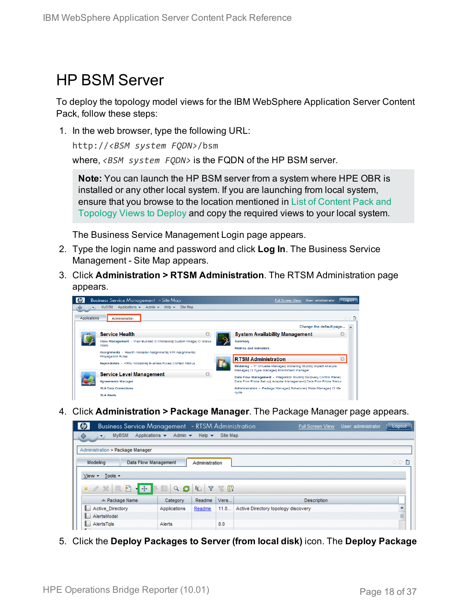### <span id="page-17-0"></span>HP BSM Server

To deploy the topology model views for the IBM WebSphere Application Server Content Pack, follow these steps:

1. In the web browser, type the following URL:

```
http://<BSM system FQDN>/bsm
```
where, *<BSM system FQDN>* is the FQDN of the HP BSM server.

**Note:** You can launch the HP BSM server from a system where HPE OBR is installed or any other local system. If you are launching from local system, ensure that you browse to the location mentioned in List of [Content](#page-16-1) Pack and [Topology](#page-16-1) Views to Deploy and copy the required views to your local system.

The Business Service Management Login page appears.

- 2. Type the login name and password and click **Log In**. The Business Service Management - Site Map appears.
- 3. Click **Administration > RTSM Administration**. The RTSM Administration page appears.



4. Click **Administration > Package Manager**. The Package Manager page appears.

| $\boldsymbol{\phi}$<br>Business Service Management - RTSM Administration             |                             |                           |          | <b>Full Screen View</b>             | User: administrator | Logout |
|--------------------------------------------------------------------------------------|-----------------------------|---------------------------|----------|-------------------------------------|---------------------|--------|
| ♦<br><b>MyBSM</b><br>Applications v<br>$\Leftrightarrow$<br>$\overline{\phantom{a}}$ | Admin $\star$               | Help $\blacktriangledown$ | Site Map |                                     |                     |        |
| Administration > Package Manager                                                     |                             |                           |          |                                     |                     |        |
| Modeling                                                                             | <b>Data Flow Management</b> | Administration            |          |                                     |                     | ◇◇■    |
| Tools -<br>$View -$                                                                  |                             |                           |          |                                     |                     |        |
| 豣<br>$-45+$<br>$*$ $\alpha$ $\times$                                                 | C<br>$\alpha$               | Y<br>G                    | - MR     |                                     |                     |        |
| $\angle$ Package Name                                                                | Category                    | Readme                    | Vers     | <b>Description</b>                  |                     |        |
| <b>Active Directory</b><br>L.                                                        | Applications                | Readme                    | 11.0     | Active Directory topology discovery |                     | ۸      |
| AlertsModel                                                                          |                             |                           |          |                                     |                     | E      |
| AlertsTqls<br>L.                                                                     | Alerts                      |                           | 8.0      |                                     |                     |        |
|                                                                                      |                             |                           |          |                                     |                     |        |

5. Click the **Deploy Packages to Server (from local disk)** icon. The **Deploy Package**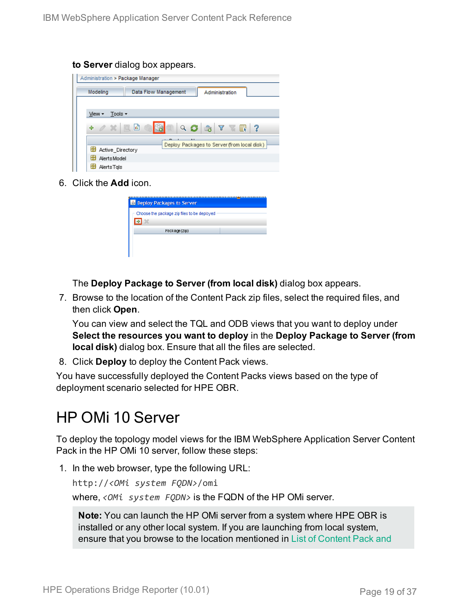**to Server** dialog box appears.

| Administration > Package Manager |                      |                                |                                             |    |
|----------------------------------|----------------------|--------------------------------|---------------------------------------------|----|
| Modeling                         | Data Flow Management |                                | Administration                              |    |
|                                  |                      |                                |                                             |    |
| Tools $\sim$<br>View -           |                      |                                |                                             |    |
| $\mathscr{O} \mathscr{L}$<br>÷   | 圃<br>$\alpha$        | $Q_{\odot}$<br>$\frac{1}{100}$ | $Y - \frac{1}{2}$<br>Ш                      | -? |
|                                  |                      |                                | Deploy Packages to Server (from local disk) |    |
| Active Directory                 |                      |                                |                                             |    |
| H<br><b>AlertsModel</b>          |                      |                                |                                             |    |
| AlertsTals                       |                      |                                |                                             |    |

6. Click the **Add** icon.

| <b>B</b> Deploy Packages to Server          |  |
|---------------------------------------------|--|
| Choose the package zip files to be deployed |  |
|                                             |  |
| Package(zip)                                |  |
|                                             |  |
|                                             |  |

The **Deploy Package to Server (from local disk)** dialog box appears.

7. Browse to the location of the Content Pack zip files, select the required files, and then click **Open**.

You can view and select the TQL and ODB views that you want to deploy under **Select the resources you want to deploy** in the **Deploy Package to Server (from local disk)** dialog box. Ensure that all the files are selected.

8. Click **Deploy** to deploy the Content Pack views.

You have successfully deployed the Content Packs views based on the type of deployment scenario selected for HPE OBR.

## <span id="page-18-0"></span>HP OMi 10 Server

To deploy the topology model views for the IBM WebSphere Application Server Content Pack in the HP OMi 10 server, follow these steps:

1. In the web browser, type the following URL:

http://*<OMi system FQDN>*/omi

where, *<OMi system FQDN>* is the FQDN of the HP OMi server.

**Note:** You can launch the HP OMi server from a system where HPE OBR is installed or any other local system. If you are launching from local system, ensure that you browse to the location mentioned in List of [Content](#page-16-1) Pack and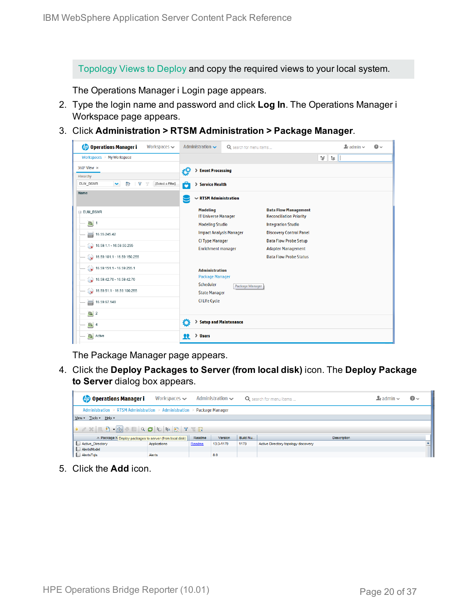[Topology](#page-16-1) Views to Deploy and copy the required views to your local system.

The Operations Manager i Login page appears.

- 2. Type the login name and password and click **Log In**. The Operations Manager i Workspace page appears.
- 3. Click **Administration > RTSM Administration > Package Manager**.

| <b>Operations Manager i</b><br>Workspaces $\smile$      | Administration $\sim$                         | Q search for menu items                                                                                          |                                                               |         | $\clubsuit$ admin $\sim$ | $\bullet$ |
|---------------------------------------------------------|-----------------------------------------------|------------------------------------------------------------------------------------------------------------------|---------------------------------------------------------------|---------|--------------------------|-----------|
| Workspaces $>$ My Workspace                             |                                               |                                                                                                                  |                                                               | V<br>ъH |                          |           |
| 360° View x                                             | ł9<br><b>Event Processing</b>                 |                                                                                                                  |                                                               |         |                          |           |
| Hierarchy                                               |                                               |                                                                                                                  |                                                               |         |                          |           |
| Þ<br>[Select a Filter]<br>EUM_BSMR<br>$\checkmark$<br>Y | Ô<br>> Service Health                         |                                                                                                                  |                                                               |         |                          |           |
| Name                                                    |                                               | $\sim$ RTSM Administration                                                                                       |                                                               |         |                          |           |
| E EUM_BSMR                                              | <b>Modeling</b><br><b>IT Universe Manager</b> |                                                                                                                  | <b>Data Flow Management</b><br><b>Reconciliation Priority</b> |         |                          |           |
| $\boxed{a}$ 1                                           | <b>Modeling Studio</b>                        |                                                                                                                  | <b>Integration Studio</b>                                     |         |                          |           |
| 16.55.245.42                                            | <b>Impact Analysis Manager</b>                |                                                                                                                  | <b>Discovery Control Panel</b>                                |         |                          |           |
| $\bigotimes$ 16.59.1.1 - 16.59.50.255                   |                                               | <b>CI Type Manager</b><br><b>Data Flow Probe Setup</b><br><b>Enrichment manager</b><br><b>Adapter Management</b> |                                                               |         |                          |           |
| $\bigotimes$ 16.59.101.1 - 16.59.150.255                |                                               |                                                                                                                  | <b>Data Flow Probe Status</b>                                 |         |                          |           |
|                                                         | <b>Administration</b>                         |                                                                                                                  |                                                               |         |                          |           |
| $\bigotimes$ 16.59.42.70 - 16.59.42.70                  | <b>Package Manager</b><br><b>Scheduler</b>    |                                                                                                                  |                                                               |         |                          |           |
| $\bigotimes$ 16.59.51.1 - 16.59.100.255                 | <b>State Manager</b>                          | Package Manager                                                                                                  |                                                               |         |                          |           |
| 16.59.67.149                                            | <b>CI Life Cycle</b>                          |                                                                                                                  |                                                               |         |                          |           |
| $\left[ \bigcirc \right]$ 2                             |                                               |                                                                                                                  |                                                               |         |                          |           |
| $\bigcirc$ 4                                            | Ō<br><b>Setup and Maintenance</b>             |                                                                                                                  |                                                               |         |                          |           |
| Active                                                  | <b>Users</b><br>я                             |                                                                                                                  |                                                               |         |                          |           |

The Package Manager page appears.

4. Click the **Deploy Packages to Server (from local disk)** icon. The **Deploy Package to Server** dialog box appears.

| <b>Operations Manager i</b>                                                                                           | Workspaces $\smile$ |        | Administration $\sim$ |      | Q search for menu items             | $\blacktriangle$ r admin $\blacktriangleright$ | $\odot$ |  |  |
|-----------------------------------------------------------------------------------------------------------------------|---------------------|--------|-----------------------|------|-------------------------------------|------------------------------------------------|---------|--|--|
| Administration > RTSM Administration > Administration > Package Manager                                               |                     |        |                       |      |                                     |                                                |         |  |  |
| View - Tools - Help -                                                                                                 |                     |        |                       |      |                                     |                                                |         |  |  |
| $* \angle \times \Box \boxtimes \cdot \oplus \neq \Box \cup \Box \Box \Box \Box \Box \Box \Box \Box \Box \Box$        |                     |        |                       |      |                                     |                                                |         |  |  |
| ≐ Package N Deploy packages to server (from local disk)<br><b>Version</b><br>Build Nu<br>Readme<br><b>Description</b> |                     |        |                       |      |                                     |                                                |         |  |  |
| Active_Directory                                                                                                      | Applications        | Readme | 13.0-1179             | 1179 | Active Directory topology discovery |                                                |         |  |  |
| AlertsModel                                                                                                           |                     |        |                       |      |                                     |                                                |         |  |  |
| AlertsTals                                                                                                            | Alerts              |        | 8.0                   |      |                                     |                                                |         |  |  |

5. Click the **Add** icon.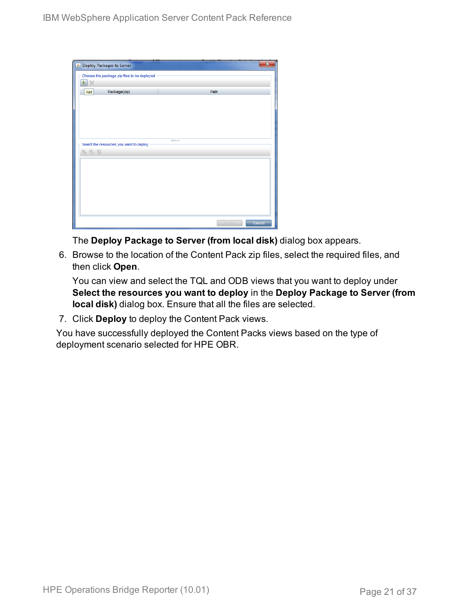| Seploy Packages to Server                   |        |        |
|---------------------------------------------|--------|--------|
| Choose the package zip files to be deployed |        |        |
| 中<br>$\chi$                                 |        |        |
| Package(zip)<br>Add                         | Path   |        |
|                                             |        |        |
|                                             |        |        |
|                                             |        |        |
|                                             |        |        |
|                                             |        |        |
| Select the resources you want to deploy     |        |        |
| 名马路                                         |        |        |
|                                             |        |        |
|                                             |        |        |
|                                             |        |        |
|                                             |        |        |
|                                             |        |        |
|                                             |        |        |
|                                             |        |        |
|                                             | Deploy | Cancel |

The **Deploy Package to Server (from local disk)** dialog box appears.

6. Browse to the location of the Content Pack zip files, select the required files, and then click **Open**.

You can view and select the TQL and ODB views that you want to deploy under **Select the resources you want to deploy** in the **Deploy Package to Server (from local disk)** dialog box. Ensure that all the files are selected.

7. Click **Deploy** to deploy the Content Pack views.

You have successfully deployed the Content Packs views based on the type of deployment scenario selected for HPE OBR.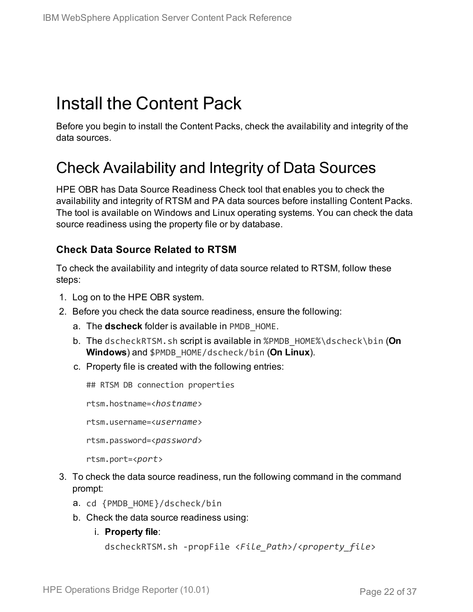# <span id="page-21-0"></span>Install the Content Pack

<span id="page-21-1"></span>Before you begin to install the Content Packs, check the availability and integrity of the data sources.

### Check Availability and Integrity of Data Sources

HPE OBR has Data Source Readiness Check tool that enables you to check the availability and integrity of RTSM and PA data sources before installing Content Packs. The tool is available on Windows and Linux operating systems. You can check the data source readiness using the property file or by database.

### **Check Data Source Related to RTSM**

To check the availability and integrity of data source related to RTSM, follow these steps:

- 1. Log on to the HPE OBR system.
- 2. Before you check the data source readiness, ensure the following:
	- a. The **dscheck** folder is available in PMDB\_HOME.
	- b. The dscheckRTSM.sh script is available in %PMDB\_HOME%\dscheck\bin (**On Windows**) and \$PMDB\_HOME/dscheck/bin (**On Linux**).
	- c. Property file is created with the following entries:

## RTSM DB connection properties

rtsm.hostname=<*hostname*>

rtsm.username=<*username*>

rtsm.password=<*password*>

```
rtsm.port=<port>
```
- 3. To check the data source readiness, run the following command in the command prompt:
	- a. cd {PMDB\_HOME}/dscheck/bin
	- b. Check the data source readiness using:
		- i. **Property file**:

```
dscheckRTSM.sh -propFile <File_Path>/<property_file>
```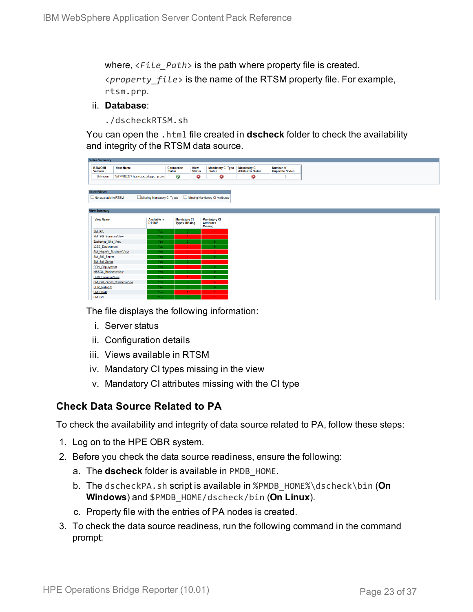where, <*File\_Path*> is the path where property file is created. <*property\_file*> is the name of the RTSM property file. For example, rtsm.prp.

#### ii. **Database**:

./dscheckRTSM.sh

You can open the .html file created in **dscheck** folder to check the availability and integrity of the RTSM data source.

| <b>Status Summary</b>            |                                   |                            |                             |                              |                                           |                                           |  |
|----------------------------------|-----------------------------------|----------------------------|-----------------------------|------------------------------|-------------------------------------------|-------------------------------------------|--|
| <b>BSM/OMi</b><br><b>Version</b> | <b>Host Name</b>                  |                            | Connection<br><b>Status</b> | <b>View</b><br><b>Status</b> | <b>Mandatory CI Type</b><br><b>Status</b> | <b>Mandatory CI<br/>Attributes Status</b> |  |
| Unknown                          | IWFVM02277.hpswlabs.adapps.hp.com |                            | Ø                           | ◶                            | ☺                                         | 0                                         |  |
|                                  |                                   |                            |                             |                              |                                           |                                           |  |
| <b>Select Views:</b>             |                                   |                            |                             |                              |                                           |                                           |  |
| Not available in RTSM            |                                   | Missing Mandatory CI Types |                             |                              | Missing Mandatory CI Attributes           |                                           |  |
|                                  |                                   |                            |                             |                              |                                           |                                           |  |
| <b>View Summary</b>              |                                   |                            |                             |                              |                                           |                                           |  |
| <b>View Name</b>                 |                                   | <b>Available in</b>        | <b>Mandatory CI</b>         |                              | <b>Mandatory CI</b>                       |                                           |  |
|                                  |                                   | RTSM?                      | <b>Types Missing</b>        |                              | <b>Attributes</b>                         |                                           |  |
|                                  |                                   |                            |                             |                              | <b>Missing</b>                            |                                           |  |
| SM_PA<br>SM SiS BusinessView     |                                   | Yes.<br>Yes:               | $\mathbf{0}$                |                              | 4<br>$\blacktriangleleft$                 |                                           |  |
| Exchange Site View               |                                   | Yes:                       |                             |                              |                                           |                                           |  |
| J2EE_Deployment                  |                                   | Yes:                       |                             |                              |                                           |                                           |  |
|                                  | SM_HyperV_BusinessView            | Yes:                       |                             |                              |                                           |                                           |  |
| SM_SiS_Server                    |                                   | Yes                        |                             |                              |                                           |                                           |  |
| SM Sol Zones                     |                                   | Yes:                       |                             |                              |                                           |                                           |  |
| <b>ORA</b> Deployment            |                                   | Yes:                       |                             |                              |                                           |                                           |  |
| MSSQL BusinessView               |                                   | <b>Yes</b>                 |                             |                              |                                           |                                           |  |
| <b>ORA BusinessView</b>          |                                   | Yes:                       |                             |                              |                                           |                                           |  |
| <b>SHR Network</b>               | SM Sol Zones BusinessView         | Yes:<br>Yes:               |                             |                              | 12                                        |                                           |  |
| <b>SM_LPAR</b>                   |                                   | Yes:                       |                             |                              | $\overline{1}$                            |                                           |  |
| SM SiS                           |                                   | Yes:                       |                             |                              |                                           |                                           |  |

The file displays the following information:

- i. Server status
- ii. Configuration details
- iii. Views available in RTSM
- iv. Mandatory CI types missing in the view
- v. Mandatory CI attributes missing with the CI type

#### **Check Data Source Related to PA**

To check the availability and integrity of data source related to PA, follow these steps:

- 1. Log on to the HPE OBR system.
- 2. Before you check the data source readiness, ensure the following:
	- a. The **dscheck** folder is available in PMDB\_HOME.
	- b. The dscheckPA.sh script is available in %PMDB\_HOME%\dscheck\bin (**On Windows**) and \$PMDB\_HOME/dscheck/bin (**On Linux**).
	- c. Property file with the entries of PA nodes is created.
- 3. To check the data source readiness, run the following command in the command prompt: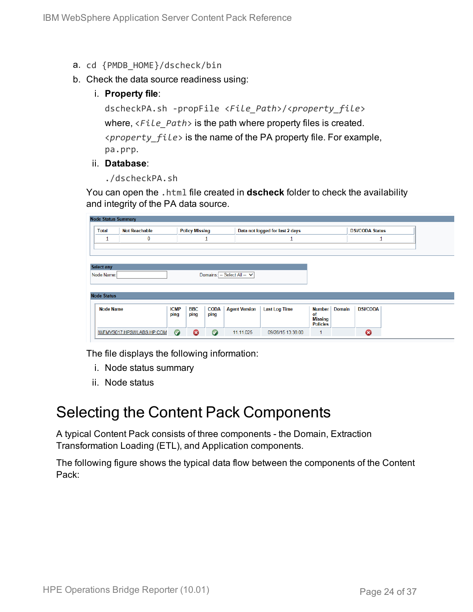- a. cd {PMDB\_HOME}/dscheck/bin
- b. Check the data source readiness using:
	- i. **Property file**:

dscheckPA.sh -propFile <*File\_Path*>/<*property\_file*> where, <*File\_Path*> is the path where property files is created. <*property\_file*> is the name of the PA property file. For example, pa.prp.

#### ii. **Database**:

./dscheckPA.sh

You can open the .html file created in **dscheck** folder to check the availability and integrity of the PA data source.

| <b>Node Status Summary</b> |                                               |             |                       |             |                                 |                      |                      |                        |                 |  |
|----------------------------|-----------------------------------------------|-------------|-----------------------|-------------|---------------------------------|----------------------|----------------------|------------------------|-----------------|--|
| <b>Total</b>               | <b>Policy Missing</b><br><b>Not Reachable</b> |             |                       |             | Data not logged for last 2 days |                      |                      | <b>DSi/CODA Status</b> |                 |  |
| ∸                          | 0                                             |             |                       | ┹           |                                 |                      |                      |                        |                 |  |
|                            |                                               |             |                       |             |                                 |                      |                      |                        |                 |  |
|                            |                                               |             |                       |             |                                 |                      |                      |                        |                 |  |
| <b>Select any</b>          |                                               |             |                       |             |                                 |                      |                      |                        |                 |  |
| Node Name:                 |                                               |             |                       |             | Domains: -- Select All -- V     |                      |                      |                        |                 |  |
|                            |                                               |             |                       |             |                                 |                      |                      |                        |                 |  |
| <b>Node Status</b>         |                                               |             |                       |             |                                 |                      |                      |                        |                 |  |
|                            |                                               |             |                       |             |                                 |                      |                      |                        |                 |  |
| <b>Node Name</b>           |                                               | <b>ICMP</b> | <b>BBC</b>            | <b>CODA</b> | <b>Agent Version</b>            | <b>Last Log Time</b> | Number               | <b>Domain</b>          | <b>DSi/CODA</b> |  |
|                            |                                               | ping        | ping                  | ping        |                                 |                      | of<br><b>Missing</b> |                        |                 |  |
|                            |                                               |             |                       |             |                                 |                      | <b>Policies</b>      |                        |                 |  |
|                            | IWFMVS017.HPSWLABS.HP.COM                     | $\bullet$   | $\boldsymbol{\Omega}$ | $\bullet$   | 11.11.025                       | 09/28/15 13:38:00    | $\mathbf{1}$         |                        | Ø               |  |

The file displays the following information:

- i. Node status summary
- ii. Node status

### <span id="page-23-0"></span>Selecting the Content Pack Components

A typical Content Pack consists of three components - the Domain, Extraction Transformation Loading (ETL), and Application components.

The following figure shows the typical data flow between the components of the Content Pack: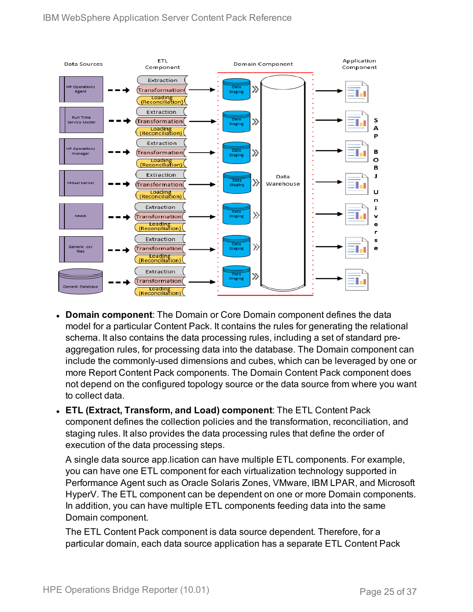

- **Domain component**: The Domain or Core Domain component defines the data model for a particular Content Pack. It contains the rules for generating the relational schema. It also contains the data processing rules, including a set of standard preaggregation rules, for processing data into the database. The Domain component can include the commonly-used dimensions and cubes, which can be leveraged by one or more Report Content Pack components. The Domain Content Pack component does not depend on the configured topology source or the data source from where you want to collect data.
- <sup>l</sup> **ETL (Extract, Transform, and Load) component**: The ETL Content Pack component defines the collection policies and the transformation, reconciliation, and staging rules. It also provides the data processing rules that define the order of execution of the data processing steps.

A single data source app.lication can have multiple ETL components. For example, you can have one ETL component for each virtualization technology supported in Performance Agent such as Oracle Solaris Zones, VMware, IBM LPAR, and Microsoft HyperV. The ETL component can be dependent on one or more Domain components. In addition, you can have multiple ETL components feeding data into the same Domain component.

The ETL Content Pack component is data source dependent. Therefore, for a particular domain, each data source application has a separate ETL Content Pack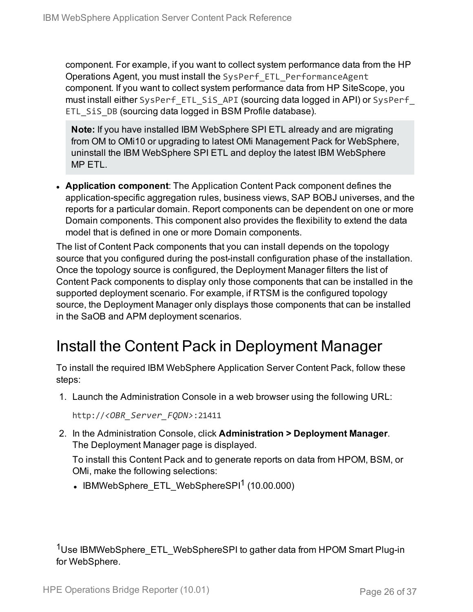component. For example, if you want to collect system performance data from the HP Operations Agent, you must install the SysPerf\_ETL\_PerformanceAgent component. If you want to collect system performance data from HP SiteScope, you must install either SysPerf ETL SiS API (sourcing data logged in API) or SysPerf ETL SiS DB (sourcing data logged in BSM Profile database).

**Note:** If you have installed IBM WebSphere SPI ETL already and are migrating from OM to OMi10 or upgrading to latest OMi Management Pack for WebSphere, uninstall the IBM WebSphere SPI ETL and deploy the latest IBM WebSphere MP ETL.

**Application component**: The Application Content Pack component defines the application-specific aggregation rules, business views, SAP BOBJ universes, and the reports for a particular domain. Report components can be dependent on one or more Domain components. This component also provides the flexibility to extend the data model that is defined in one or more Domain components.

The list of Content Pack components that you can install depends on the topology source that you configured during the post-install configuration phase of the installation. Once the topology source is configured, the Deployment Manager filters the list of Content Pack components to display only those components that can be installed in the supported deployment scenario. For example, if RTSM is the configured topology source, the Deployment Manager only displays those components that can be installed in the SaOB and APM deployment scenarios.

## <span id="page-25-0"></span>Install the Content Pack in Deployment Manager

To install the required IBM WebSphere Application Server Content Pack, follow these steps:

1. Launch the Administration Console in a web browser using the following URL:

http://*<OBR\_Server\_FQDN>*:21411

2. In the Administration Console, click **Administration > Deployment Manager**. The Deployment Manager page is displayed.

To install this Content Pack and to generate reports on data from HPOM, BSM, or OMi, make the following selections:

 $\bullet$  IBMWebSphere ETL WebSphereSPI<sup>1</sup> (10.00.000)

<sup>1</sup>Use IBMWebSphere\_ETL\_WebSphereSPI to gather data from HPOM Smart Plug-in for WebSphere.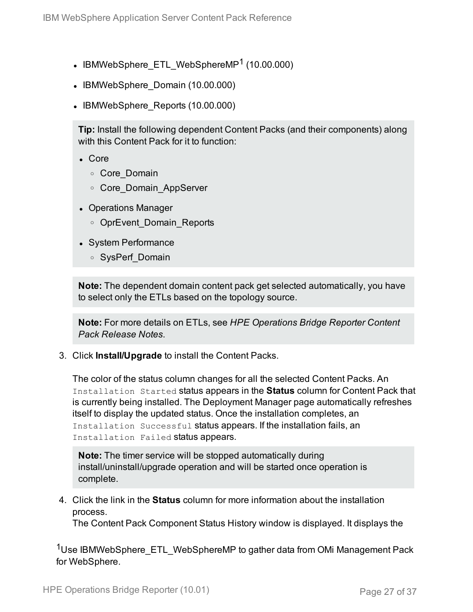- IBMWebSphere ETL WebSphereMP<sup>1</sup> (10.00.000)
- IBMWebSphere Domain (10.00.000)
- IBMWebSphere Reports (10.00.000)

**Tip:** Install the following dependent Content Packs (and their components) along with this Content Pack for it to function:

- <sup>l</sup> Core
	- <sup>o</sup> Core\_Domain
	- <sup>o</sup> Core\_Domain\_AppServer
- Operations Manager
	- o OprEvent Domain Reports
- System Performance
	- <sup>o</sup> SysPerf\_Domain

**Note:** The dependent domain content pack get selected automatically, you have to select only the ETLs based on the topology source.

**Note:** For more details on ETLs, see *HPE Operations Bridge Reporter Content Pack Release Notes*.

3. Click **Install/Upgrade** to install the Content Packs.

The color of the status column changes for all the selected Content Packs. An Installation Started status appears in the **Status** column for Content Pack that is currently being installed. The Deployment Manager page automatically refreshes itself to display the updated status. Once the installation completes, an Installation Successful status appears. If the installation fails, an Installation Failed status appears.

**Note:** The timer service will be stopped automatically during install/uninstall/upgrade operation and will be started once operation is complete.

4. Click the link in the **Status** column for more information about the installation process.

The Content Pack Component Status History window is displayed. It displays the

<sup>1</sup>Use IBMWebSphere\_ETL\_WebSphereMP to gather data from OMi Management Pack for WebSphere.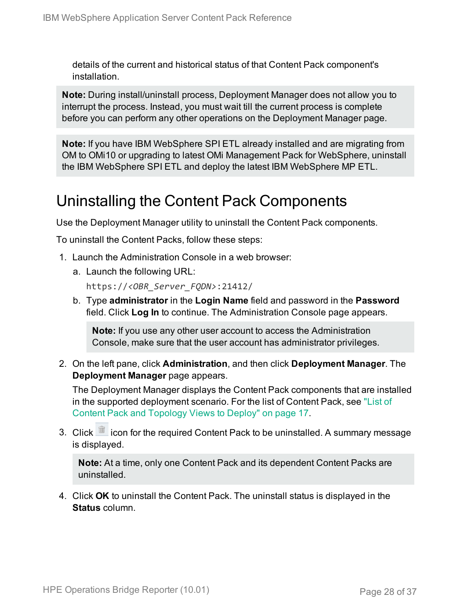details of the current and historical status of that Content Pack component's installation.

**Note:** During install/uninstall process, Deployment Manager does not allow you to interrupt the process. Instead, you must wait till the current process is complete before you can perform any other operations on the Deployment Manager page.

**Note:** If you have IBM WebSphere SPI ETL already installed and are migrating from OM to OMi10 or upgrading to latest OMi Management Pack for WebSphere, uninstall the IBM WebSphere SPI ETL and deploy the latest IBM WebSphere MP ETL.

### <span id="page-27-0"></span>Uninstalling the Content Pack Components

Use the Deployment Manager utility to uninstall the Content Pack components.

To uninstall the Content Packs, follow these steps:

- 1. Launch the Administration Console in a web browser:
	- a. Launch the following URL:

https://*<OBR\_Server\_FQDN>*:21412/

b. Type **administrator** in the **Login Name** field and password in the **Password** field. Click **Log In** to continue. The Administration Console page appears.

**Note:** If you use any other user account to access the Administration Console, make sure that the user account has administrator privileges.

2. On the left pane, click **Administration**, and then click **Deployment Manager**. The **Deployment Manager** page appears.

The Deployment Manager displays the Content Pack components that are installed in the supported deployment scenario. For the list of Content Pack, see ["List](#page-16-1) of Content Pack and [Topology](#page-16-1) Views to Deploy" on page 17.

3. Click  $\widehat{\mathbb{I}}$  icon for the required Content Pack to be uninstalled. A summary message is displayed.

**Note:** At a time, only one Content Pack and its dependent Content Packs are uninstalled.

4. Click **OK** to uninstall the Content Pack. The uninstall status is displayed in the **Status** column.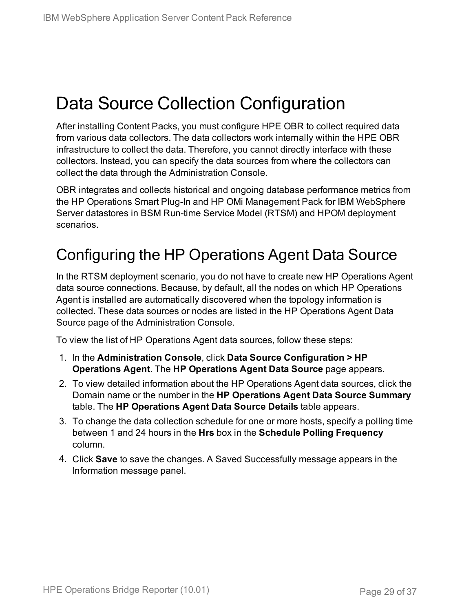# <span id="page-28-0"></span>Data Source Collection Configuration

After installing Content Packs, you must configure HPE OBR to collect required data from various data collectors. The data collectors work internally within the HPE OBR infrastructure to collect the data. Therefore, you cannot directly interface with these collectors. Instead, you can specify the data sources from where the collectors can collect the data through the Administration Console.

OBR integrates and collects historical and ongoing database performance metrics from the HP Operations Smart Plug-In and HP OMi Management Pack for IBM WebSphere Server datastores in BSM Run-time Service Model (RTSM) and HPOM deployment scenarios.

## <span id="page-28-1"></span>Configuring the HP Operations Agent Data Source

In the RTSM deployment scenario, you do not have to create new HP Operations Agent data source connections. Because, by default, all the nodes on which HP Operations Agent is installed are automatically discovered when the topology information is collected. These data sources or nodes are listed in the HP Operations Agent Data Source page of the Administration Console.

To view the list of HP Operations Agent data sources, follow these steps:

- 1. In the **Administration Console**, click **Data Source Configuration > HP Operations Agent**. The **HP Operations Agent Data Source** page appears.
- 2. To view detailed information about the HP Operations Agent data sources, click the Domain name or the number in the **HP Operations Agent Data Source Summary** table. The **HP Operations Agent Data Source Details** table appears.
- 3. To change the data collection schedule for one or more hosts, specify a polling time between 1 and 24 hours in the **Hrs** box in the **Schedule Polling Frequency** column.
- 4. Click **Save** to save the changes. A Saved Successfully message appears in the Information message panel.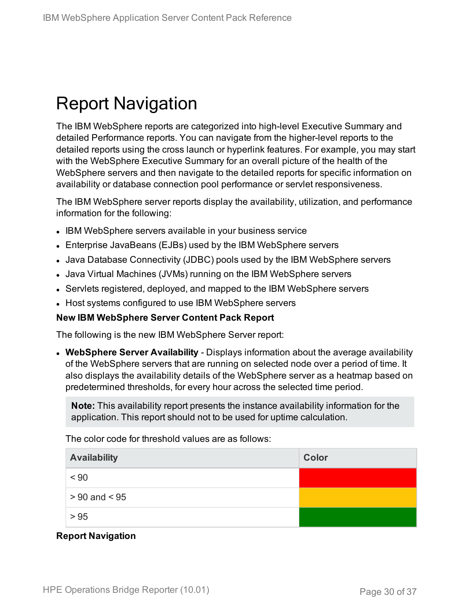# <span id="page-29-0"></span>Report Navigation

The IBM WebSphere reports are categorized into high-level Executive Summary and detailed Performance reports. You can navigate from the higher-level reports to the detailed reports using the cross launch or hyperlink features. For example, you may start with the WebSphere Executive Summary for an overall picture of the health of the WebSphere servers and then navigate to the detailed reports for specific information on availability or database connection pool performance or servlet responsiveness.

The IBM WebSphere server reports display the availability, utilization, and performance information for the following:

- IBM WebSphere servers available in your business service
- Enterprise JavaBeans (EJBs) used by the IBM WebSphere servers
- Java Database Connectivity (JDBC) pools used by the IBM WebSphere servers
- Java Virtual Machines (JVMs) running on the IBM WebSphere servers
- Servlets registered, deployed, and mapped to the IBM WebSphere servers
- Host systems configured to use IBM WebSphere servers

#### **New IBM WebSphere Server Content Pack Report**

The following is the new IBM WebSphere Server report:

**• WebSphere Server Availability** - Displays information about the average availability of the WebSphere servers that are running on selected node over a period of time. It also displays the availability details of the WebSphere server as a heatmap based on predetermined thresholds, for every hour across the selected time period.

**Note:** This availability report presents the instance availability information for the application. This report should not to be used for uptime calculation.

The color code for threshold values are as follows:

| <b>Availability</b> | Color |
|---------------------|-------|
| < 90                |       |
| $> 90$ and $< 95$   |       |
| > 95                |       |

#### **Report Navigation**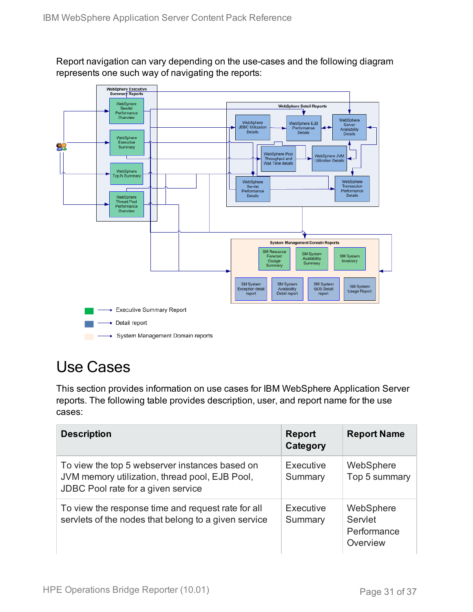Report navigation can vary depending on the use-cases and the following diagram represents one such way of navigating the reports:



## <span id="page-30-0"></span>Use Cases

This section provides information on use cases for IBM WebSphere Application Server reports. The following table provides description, user, and report name for the use cases:

| <b>Description</b>                                                                                                                     | <b>Report</b><br>Category | <b>Report Name</b>                              |
|----------------------------------------------------------------------------------------------------------------------------------------|---------------------------|-------------------------------------------------|
| To view the top 5 webserver instances based on<br>JVM memory utilization, thread pool, EJB Pool,<br>JDBC Pool rate for a given service | Executive<br>Summary      | WebSphere<br>Top 5 summary                      |
| To view the response time and request rate for all<br>servlets of the nodes that belong to a given service                             | Executive<br>Summary      | WebSphere<br>Servlet<br>Performance<br>Overview |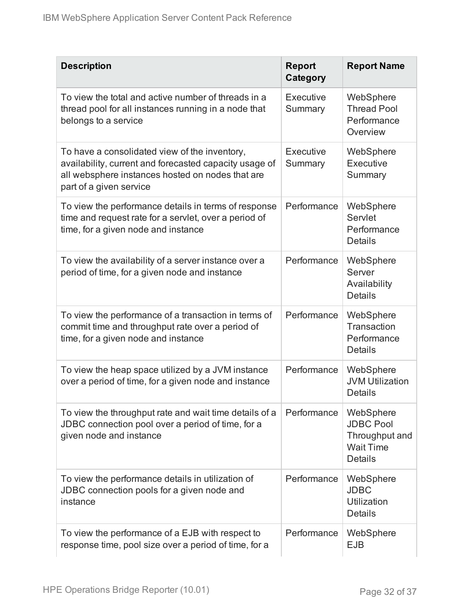| <b>Description</b>                                                                                                                                                                     | <b>Report</b><br>Category | <b>Report Name</b>                                                                    |
|----------------------------------------------------------------------------------------------------------------------------------------------------------------------------------------|---------------------------|---------------------------------------------------------------------------------------|
| To view the total and active number of threads in a<br>thread pool for all instances running in a node that<br>belongs to a service                                                    | Executive<br>Summary      | WebSphere<br><b>Thread Pool</b><br>Performance<br>Overview                            |
| To have a consolidated view of the inventory,<br>availability, current and forecasted capacity usage of<br>all websphere instances hosted on nodes that are<br>part of a given service | Executive<br>Summary      | WebSphere<br>Executive<br>Summary                                                     |
| To view the performance details in terms of response<br>time and request rate for a servlet, over a period of<br>time, for a given node and instance                                   | Performance               | WebSphere<br>Servlet<br>Performance<br><b>Details</b>                                 |
| To view the availability of a server instance over a<br>period of time, for a given node and instance                                                                                  | Performance               | WebSphere<br>Server<br>Availability<br><b>Details</b>                                 |
| To view the performance of a transaction in terms of<br>commit time and throughput rate over a period of<br>time, for a given node and instance                                        | Performance               | WebSphere<br>Transaction<br>Performance<br><b>Details</b>                             |
| To view the heap space utilized by a JVM instance<br>over a period of time, for a given node and instance                                                                              | Performance               | WebSphere<br><b>JVM Utilization</b><br><b>Details</b>                                 |
| To view the throughput rate and wait time details of a<br>JDBC connection pool over a period of time, for a<br>given node and instance                                                 | Performance               | WebSphere<br><b>JDBC Pool</b><br>Throughput and<br><b>Wait Time</b><br><b>Details</b> |
| To view the performance details in utilization of<br>JDBC connection pools for a given node and<br>instance                                                                            | Performance               | WebSphere<br><b>JDBC</b><br>Utilization<br><b>Details</b>                             |
| To view the performance of a EJB with respect to<br>response time, pool size over a period of time, for a                                                                              | Performance               | WebSphere<br><b>EJB</b>                                                               |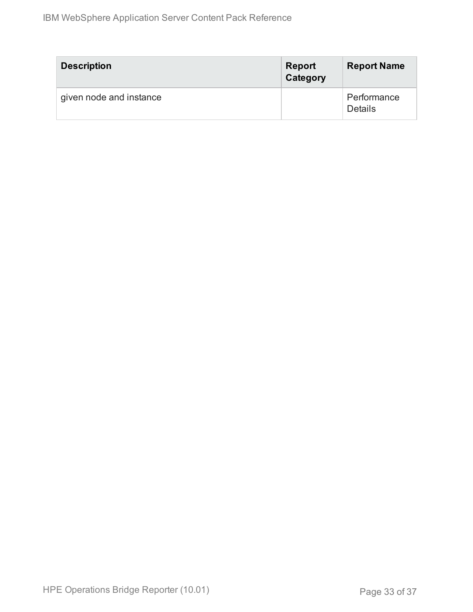| <b>Description</b>      | <b>Report</b><br>Category | <b>Report Name</b>     |
|-------------------------|---------------------------|------------------------|
| given node and instance |                           | Performance<br>Details |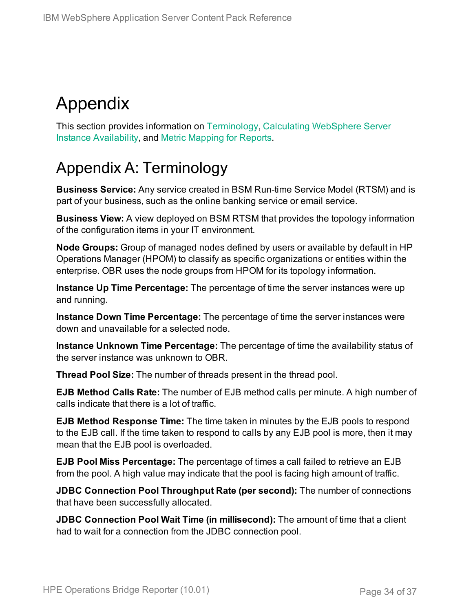# <span id="page-33-0"></span>Appendix

This section provides information on [Terminology](#page-33-1), Calculating [WebSphere](#page-34-0) Server Instance [Availability](#page-34-0), and Metric [Mapping](#page-35-0) for Reports.

## <span id="page-33-1"></span>Appendix A: Terminology

**Business Service:** Any service created in BSM Run-time Service Model (RTSM) and is part of your business, such as the online banking service or email service.

**Business View:** A view deployed on BSM RTSM that provides the topology information of the configuration items in your IT environment.

**Node Groups:** Group of managed nodes defined by users or available by default in HP Operations Manager (HPOM) to classify as specific organizations or entities within the enterprise. OBR uses the node groups from HPOM for its topology information.

**Instance Up Time Percentage:** The percentage of time the server instances were up and running.

**Instance Down Time Percentage:** The percentage of time the server instances were down and unavailable for a selected node.

**Instance Unknown Time Percentage:** The percentage of time the availability status of the server instance was unknown to OBR.

**Thread Pool Size:** The number of threads present in the thread pool.

**EJB Method Calls Rate:** The number of EJB method calls per minute. A high number of calls indicate that there is a lot of traffic.

**EJB Method Response Time:** The time taken in minutes by the EJB pools to respond to the EJB call. If the time taken to respond to calls by any EJB pool is more, then it may mean that the EJB pool is overloaded.

**EJB Pool Miss Percentage:** The percentage of times a call failed to retrieve an EJB from the pool. A high value may indicate that the pool is facing high amount of traffic.

**JDBC Connection Pool Throughput Rate (per second):** The number of connections that have been successfully allocated.

**JDBC Connection Pool Wait Time (in millisecond):** The amount of time that a client had to wait for a connection from the JDBC connection pool.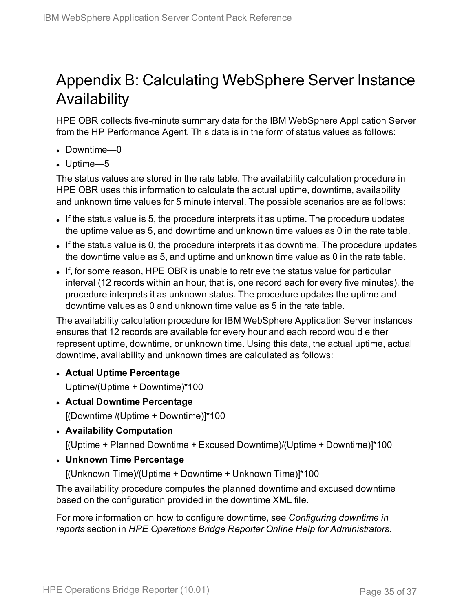## <span id="page-34-0"></span>Appendix B: Calculating WebSphere Server Instance Availability

HPE OBR collects five-minute summary data for the IBM WebSphere Application Server from the HP Performance Agent. This data is in the form of status values as follows:

- Downtime—0
- $\bullet$  Uptime—5

The status values are stored in the rate table. The availability calculation procedure in HPE OBR uses this information to calculate the actual uptime, downtime, availability and unknown time values for 5 minute interval. The possible scenarios are as follows:

- If the status value is 5, the procedure interprets it as uptime. The procedure updates the uptime value as 5, and downtime and unknown time values as 0 in the rate table.
- If the status value is 0, the procedure interprets it as downtime. The procedure updates the downtime value as 5, and uptime and unknown time value as 0 in the rate table.
- If, for some reason, HPE OBR is unable to retrieve the status value for particular interval (12 records within an hour, that is, one record each for every five minutes), the procedure interprets it as unknown status. The procedure updates the uptime and downtime values as 0 and unknown time value as 5 in the rate table.

The availability calculation procedure for IBM WebSphere Application Server instances ensures that 12 records are available for every hour and each record would either represent uptime, downtime, or unknown time. Using this data, the actual uptime, actual downtime, availability and unknown times are calculated as follows:

<sup>l</sup> **Actual Uptime Percentage**

Uptime/(Uptime + Downtime)\*100

- <sup>l</sup> **Actual Downtime Percentage** [(Downtime /(Uptime + Downtime)]\*100
- <sup>l</sup> **Availability Computation**

[(Uptime + Planned Downtime + Excused Downtime)/(Uptime + Downtime)]\*100

<sup>l</sup> **Unknown Time Percentage**

[(Unknown Time)/(Uptime + Downtime + Unknown Time)]\*100

The availability procedure computes the planned downtime and excused downtime based on the configuration provided in the downtime XML file.

For more information on how to configure downtime, see *Configuring downtime in reports* section in *HPE Operations Bridge Reporter Online Help for Administrators*.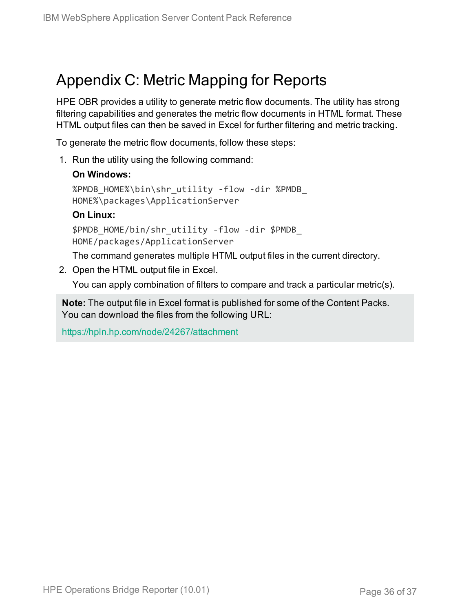## <span id="page-35-0"></span>Appendix C: Metric Mapping for Reports

HPE OBR provides a utility to generate metric flow documents. The utility has strong filtering capabilities and generates the metric flow documents in HTML format. These HTML output files can then be saved in Excel for further filtering and metric tracking.

To generate the metric flow documents, follow these steps:

1. Run the utility using the following command:

#### **On Windows:**

```
%PMDB_HOME%\bin\shr_utility -flow -dir %PMDB_
HOME%\packages\ApplicationServer
```
#### **On Linux:**

\$PMDB\_HOME/bin/shr\_utility -flow -dir \$PMDB\_ HOME/packages/ApplicationServer

The command generates multiple HTML output files in the current directory.

2. Open the HTML output file in Excel.

You can apply combination of filters to compare and track a particular metric(s).

**Note:** The output file in Excel format is published for some of the Content Packs. You can download the files from the following URL:

<https://hpln.hp.com/node/24267/attachment>